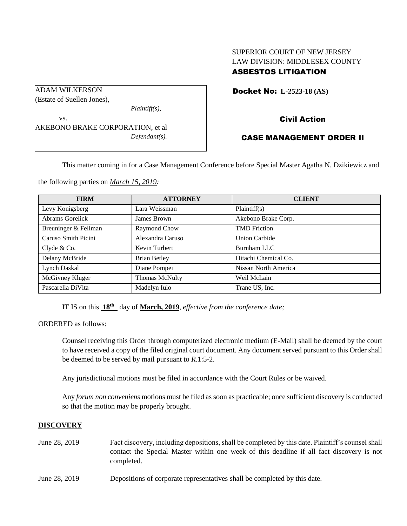# SUPERIOR COURT OF NEW JERSEY LAW DIVISION: MIDDLESEX COUNTY ASBESTOS LITIGATION

Docket No: **L-2523-18 (AS)** 

Civil Action

# CASE MANAGEMENT ORDER II

This matter coming in for a Case Management Conference before Special Master Agatha N. Dzikiewicz and

the following parties on *March 15, 2019:*

| <b>FIRM</b>          | <b>ATTORNEY</b>     | <b>CLIENT</b>        |
|----------------------|---------------------|----------------------|
| Levy Konigsberg      | Lara Weissman       | Plaintiff(s)         |
| Abrams Gorelick      | James Brown         | Akebono Brake Corp.  |
| Breuninger & Fellman | Raymond Chow        | <b>TMD</b> Friction  |
| Caruso Smith Picini  | Alexandra Caruso    | <b>Union Carbide</b> |
| Clyde & Co.          | Kevin Turbert       | Burnham LLC          |
| Delany McBride       | <b>Brian Betley</b> | Hitachi Chemical Co. |
| Lynch Daskal         | Diane Pompei        | Nissan North America |
| McGivney Kluger      | Thomas McNulty      | Weil McLain          |
| Pascarella DiVita    | Madelyn Iulo        | Trane US, Inc.       |

IT IS on this  $18^{th}$  day of March, 2019, *effective from the conference date*;

ORDERED as follows:

Counsel receiving this Order through computerized electronic medium (E-Mail) shall be deemed by the court to have received a copy of the filed original court document. Any document served pursuant to this Order shall be deemed to be served by mail pursuant to *R*.1:5-2.

Any jurisdictional motions must be filed in accordance with the Court Rules or be waived.

Any *forum non conveniens* motions must be filed as soon as practicable; once sufficient discovery is conducted so that the motion may be properly brought.

#### **DISCOVERY**

- June 28, 2019 Fact discovery, including depositions, shall be completed by this date. Plaintiff's counsel shall contact the Special Master within one week of this deadline if all fact discovery is not completed.
- June 28, 2019 Depositions of corporate representatives shall be completed by this date.

(Estate of Suellen Jones), *Plaintiff(s),* vs. AKEBONO BRAKE CORPORATION, et al

*Defendant(s).*

ADAM WILKERSON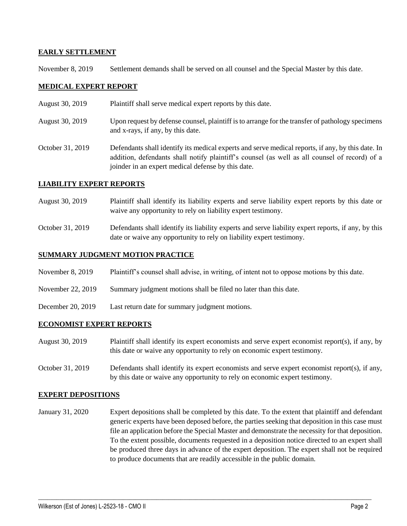## **EARLY SETTLEMENT**

November 8, 2019 Settlement demands shall be served on all counsel and the Special Master by this date.

## **MEDICAL EXPERT REPORT**

- August 30, 2019 Plaintiff shall serve medical expert reports by this date.
- August 30, 2019 Upon request by defense counsel, plaintiff is to arrange for the transfer of pathology specimens and x-rays, if any, by this date.
- October 31, 2019 Defendants shall identify its medical experts and serve medical reports, if any, by this date. In addition, defendants shall notify plaintiff's counsel (as well as all counsel of record) of a joinder in an expert medical defense by this date.

## **LIABILITY EXPERT REPORTS**

- August 30, 2019 Plaintiff shall identify its liability experts and serve liability expert reports by this date or waive any opportunity to rely on liability expert testimony.
- October 31, 2019 Defendants shall identify its liability experts and serve liability expert reports, if any, by this date or waive any opportunity to rely on liability expert testimony.

## **SUMMARY JUDGMENT MOTION PRACTICE**

- November 8, 2019 Plaintiff's counsel shall advise, in writing, of intent not to oppose motions by this date.
- November 22, 2019 Summary judgment motions shall be filed no later than this date.
- December 20, 2019 Last return date for summary judgment motions.

#### **ECONOMIST EXPERT REPORTS**

- August 30, 2019 Plaintiff shall identify its expert economists and serve expert economist report(s), if any, by this date or waive any opportunity to rely on economic expert testimony.
- October 31, 2019 Defendants shall identify its expert economists and serve expert economist report(s), if any, by this date or waive any opportunity to rely on economic expert testimony.

#### **EXPERT DEPOSITIONS**

January 31, 2020 Expert depositions shall be completed by this date. To the extent that plaintiff and defendant generic experts have been deposed before, the parties seeking that deposition in this case must file an application before the Special Master and demonstrate the necessity for that deposition. To the extent possible, documents requested in a deposition notice directed to an expert shall be produced three days in advance of the expert deposition. The expert shall not be required to produce documents that are readily accessible in the public domain.

 $\_$  ,  $\_$  ,  $\_$  ,  $\_$  ,  $\_$  ,  $\_$  ,  $\_$  ,  $\_$  ,  $\_$  ,  $\_$  ,  $\_$  ,  $\_$  ,  $\_$  ,  $\_$  ,  $\_$  ,  $\_$  ,  $\_$  ,  $\_$  ,  $\_$  ,  $\_$  ,  $\_$  ,  $\_$  ,  $\_$  ,  $\_$  ,  $\_$  ,  $\_$  ,  $\_$  ,  $\_$  ,  $\_$  ,  $\_$  ,  $\_$  ,  $\_$  ,  $\_$  ,  $\_$  ,  $\_$  ,  $\_$  ,  $\_$  ,